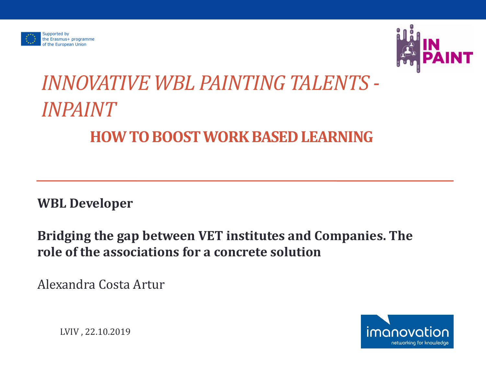



#### *INNOVATIVE WBL PAINTING TALENTS -INPAINT* **HOW TO BOOST WORK BASED LEARNING**

**WBL Developer** 

**Bridging the gap between VET institutes and Companies. The role of the associations for a concrete solution**

Alexandra Costa Artur



LVIV , 22.10.2019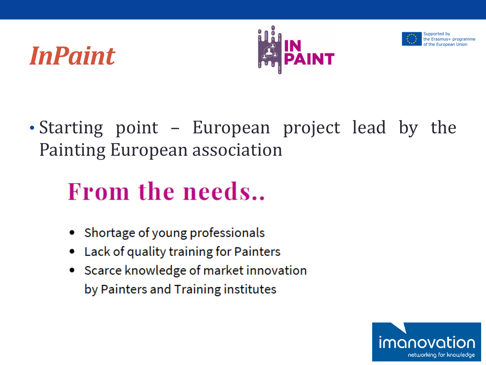



• Starting point – European project lead by the Painting European association

## **From the needs...**

- Shortage of young professionals
- Lack of quality training for Painters
- Scarce knowledge of market innovation by Painters and Training institutes

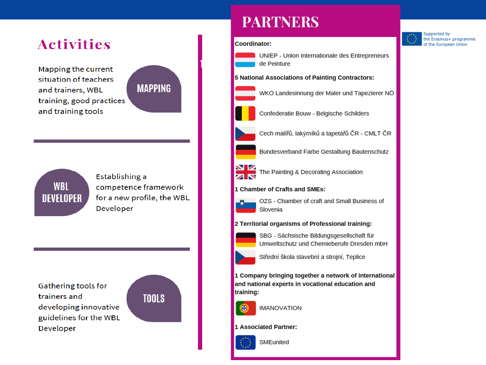# *Activities*<br>Mapping the current

situation of teachers and trainers, WBL training, good practices and training tools





Establishing a competence framework for a new profile, the WBL Developer

Gathering tools for trainers and developing innovative guidelines for the WBL Developer



#### **PARTNERS**

#### Coordinator:

UNIEP - Union Internationale des Entrepreneurs de Peinture

5 National Associations of Painting Contractors:

- WKO Landesinnung der Maler und Tapezierer NÖ
- 
- 
- Cech malířů, lakýrníků a tapetářů ČR CMLT ČR

Confederatie Bouw - Belgische Schilders

**Bundesverband Farbe Gestaltung Bautenschutz** 



The Painting & Decorating Association

#### 1 Chamber of Crafts and SMEs:



OZS - Chamber of craft and Small Business of Slovenia

#### 2 Territorial organisms of Professional training:



SBG - Sächsische Bildungsgesellschaft für Umweltschutz und Chemieberufe Dresden mbH

Střední škola stavební a strojní, Teplice

1 Company bringing together a network of international and national experts in vocational education and training:



**IMANOVATION** 





**SMEunited** 

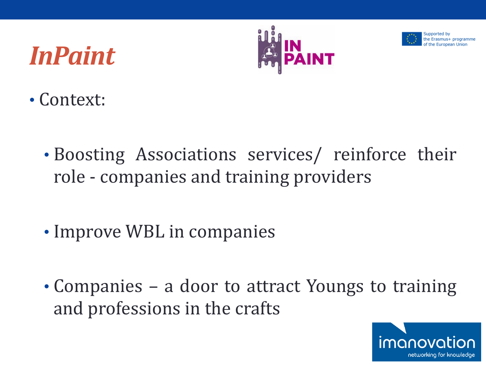



- Context:
	- Boosting Associations services/ reinforce their role - companies and training providers
	- Improve WBL in companies
	- Companies a door to attract Youngs to training and professions in the crafts

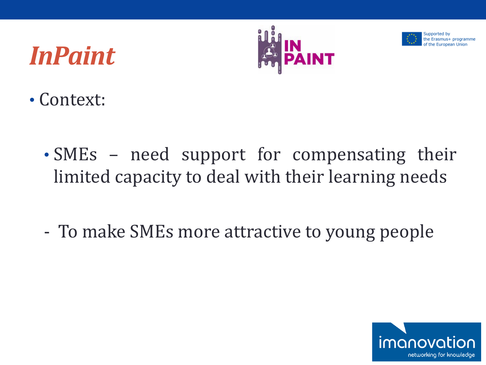



- Context:
	- SMEs need support for compensating their limited capacity to deal with their learning needs
	- To make SMEs more attractive to young people

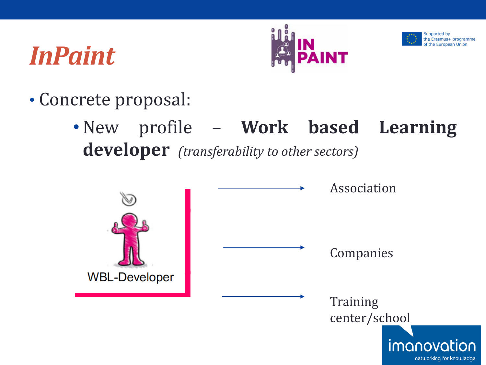



- Concrete proposal:
	- •New profile **Work based Learning developer** *(transferability to other sectors)*

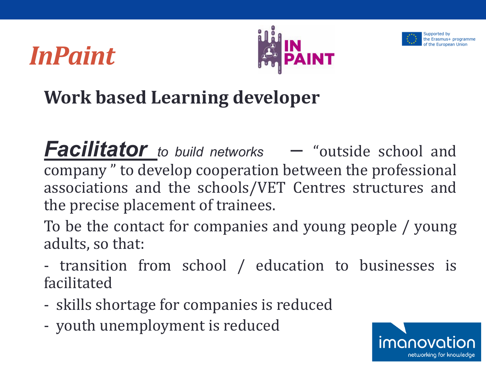



#### **Work based Learning developer**

*Facilitator to build networks* – "outside school and company " to develop cooperation between the professional associations and the schools/VET Centres structures and the precise placement of trainees.

To be the contact for companies and young people / young adults, so that:

- transition from school / education to businesses is facilitated

- skills shortage for companies is reduced
- youth unemployment is reduced

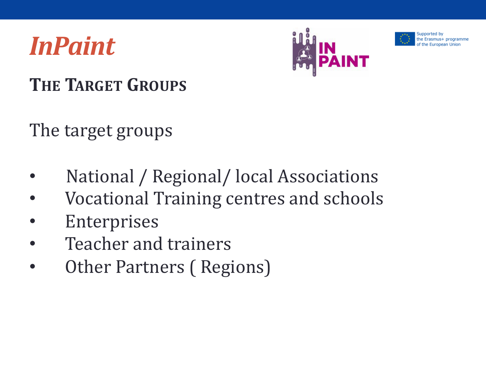



**THE TARGET GROUPS**

The target groups

- National / Regional/ local Associations
- Vocational Training centres and schools
- **Enterprises**
- Teacher and trainers
- Other Partners ( Regions)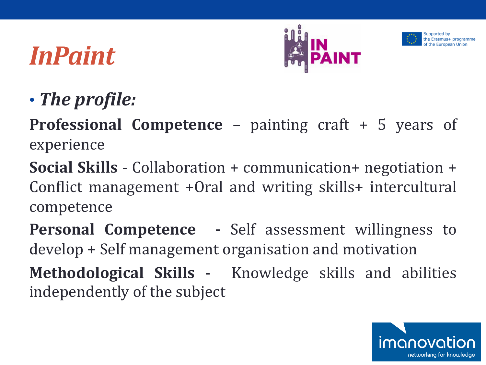



• *The profile:* 

**Professional Competence** – painting craft + 5 years of experience

**Social Skills** - Collaboration + communication+ negotiation + Conflict management +Oral and writing skills+ intercultural competence

**Personal Competence -** Self assessment willingness to develop + Self management organisation and motivation **Methodological Skills -** Knowledge skills and abilities independently of the subject

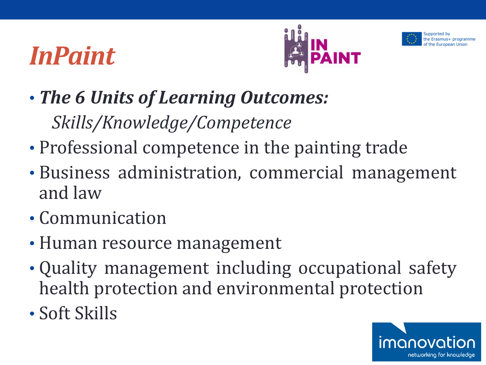



• *The 6 Units of Learning Outcomes:*

*Skills/Knowledge/Competence*

- Professional competence in the painting trade
- Business administration, commercial management and law
- Communication
- Human resource management
- Quality management including occupational safety health protection and environmental protection
- Soft Skills

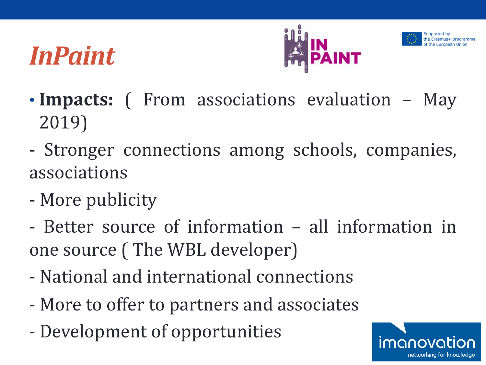



- **Impacts:** (From associations evaluation May 2019)
- Stronger connections among schools, companies, associations
- More publicity
- Better source of information all information in one source ( The WBL developer)
- National and international connections
- More to offer to partners and associates
- Development of opportunities